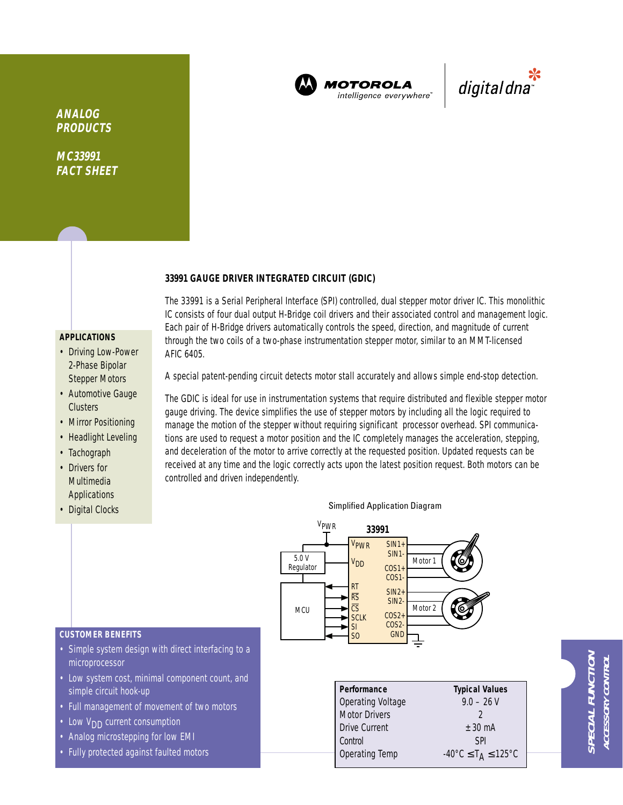

**MOTOROLA** intelligence everywhere

\*<br>"digital dna

**ANALOG PRODUCTS**

**MC33991 FACT SHEET**

## **33991 GAUGE DRIVER INTEGRATED CIRCUIT (GDIC)**

# **APPLICATIONS**

- Driving Low-Power 2-Phase Bipolar Stepper Motors
- Automotive Gauge **Clusters**
- Mirror Positioning
- Headlight Leveling
- Tachograph
- Drivers for Multimedia Applications
- Digital Clocks

Each pair of H-Bridge drivers automatically controls the speed, direction, and magnitude of current through the two coils of a two-phase instrumentation stepper motor, similar to an MMT-licensed AFIC 6405.

The 33991 is a Serial Peripheral Interface (SPI) controlled, dual stepper motor driver IC. This monolithic IC consists of four dual output H-Bridge coil drivers and their associated control and management logic.

A special patent-pending circuit detects motor stall accurately and allows simple end-stop detection.

The GDIC is ideal for use in instrumentation systems that require distributed and flexible stepper motor gauge driving. The device simplifies the use of stepper motors by including all the logic required to manage the motion of the stepper without requiring significant processor overhead. SPI communications are used to request a motor position and the IC completely manages the acceleration, stepping, and deceleration of the motor to arrive correctly at the requested position. Updated requests can be received at any time and the logic correctly acts upon the latest position request. Both motors can be controlled and driven independently.

### Simplified Application Diagram



| Performance              | <b>Typical Values</b>                              |  |  |
|--------------------------|----------------------------------------------------|--|--|
| <b>Operating Voltage</b> | $9.0 - 26$ V                                       |  |  |
| <b>Motor Drivers</b>     |                                                    |  |  |
| <b>Drive Current</b>     | $+30 \text{ mA}$                                   |  |  |
| Control                  | <b>SPI</b>                                         |  |  |
| Operating Temp           | $-40^{\circ}$ C $\leq$ T <sub>A</sub> $\leq$ 125°C |  |  |

# **CUSTOMER BENEFITS**

- Simple system design with direct interfacing to a microprocessor
- Low system cost, minimal component count, and simple circuit hook-up
- Full management of movement of two motors
- Low  $V_{DD}$  current consumption
- Analog microstepping for low EMI
- Fully protected against faulted motors

**SPECIAL FUNCTION** PECIAL FUNCTION **ACCESSORY CONTROL ACCESSORY CONTRO**